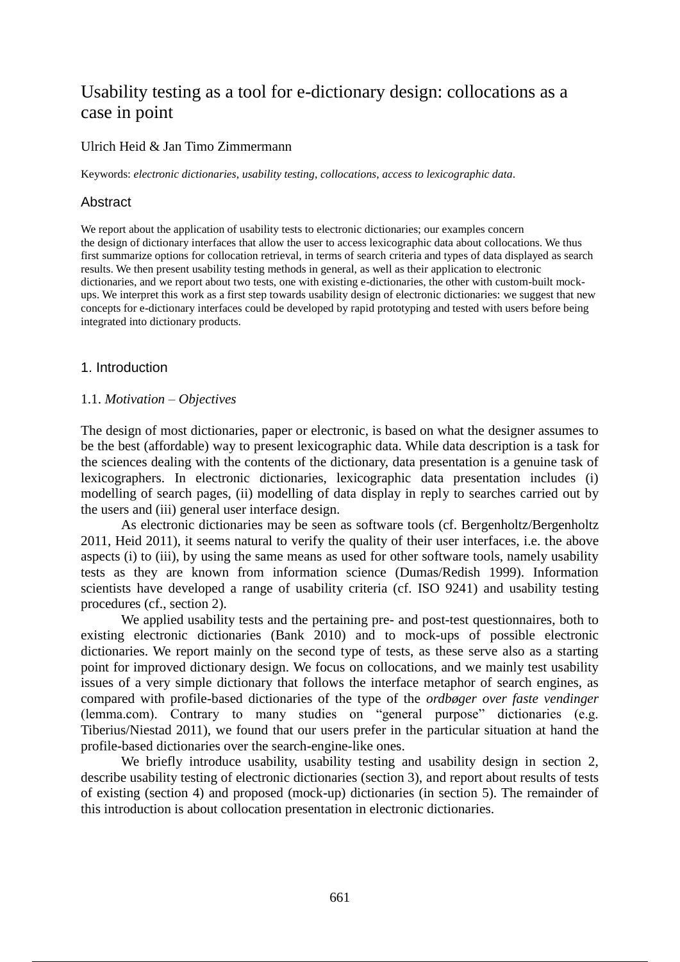# Usability testing as a tool for e-dictionary design: collocations as a case in point

## Ulrich Heid & Jan Timo Zimmermann

Keywords: *electronic dictionaries*, *usability testing*, *collocations*, *access to lexicographic data*.

# Abstract

We report about the application of usability tests to electronic dictionaries; our examples concern the design of dictionary interfaces that allow the user to access lexicographic data about collocations. We thus first summarize options for collocation retrieval, in terms of search criteria and types of data displayed as search results. We then present usability testing methods in general, as well as their application to electronic dictionaries, and we report about two tests, one with existing e-dictionaries, the other with custom-built mockups. We interpret this work as a first step towards usability design of electronic dictionaries: we suggest that new concepts for e-dictionary interfaces could be developed by rapid prototyping and tested with users before being integrated into dictionary products.

## 1. Introduction

#### 1.1. *Motivation – Objectives*

The design of most dictionaries, paper or electronic, is based on what the designer assumes to be the best (affordable) way to present lexicographic data. While data description is a task for the sciences dealing with the contents of the dictionary, data presentation is a genuine task of lexicographers. In electronic dictionaries, lexicographic data presentation includes (i) modelling of search pages, (ii) modelling of data display in reply to searches carried out by the users and (iii) general user interface design.

As electronic dictionaries may be seen as software tools (cf. Bergenholtz/Bergenholtz 2011, Heid 2011), it seems natural to verify the quality of their user interfaces, i.e. the above aspects (i) to (iii), by using the same means as used for other software tools, namely usability tests as they are known from information science (Dumas/Redish 1999). Information scientists have developed a range of usability criteria (cf. ISO 9241) and usability testing procedures (cf., section 2).

We applied usability tests and the pertaining pre- and post-test questionnaires, both to existing electronic dictionaries (Bank 2010) and to mock-ups of possible electronic dictionaries. We report mainly on the second type of tests, as these serve also as a starting point for improved dictionary design. We focus on collocations, and we mainly test usability issues of a very simple dictionary that follows the interface metaphor of search engines, as compared with profile-based dictionaries of the type of the *ordbøger over faste vendinger*  (lemma.com). Contrary to many studies on "general purpose" dictionaries (e.g. Tiberius/Niestad 2011), we found that our users prefer in the particular situation at hand the profile-based dictionaries over the search-engine-like ones.

We briefly introduce usability, usability testing and usability design in section 2, describe usability testing of electronic dictionaries (section 3), and report about results of tests of existing (section 4) and proposed (mock-up) dictionaries (in section 5). The remainder of this introduction is about collocation presentation in electronic dictionaries.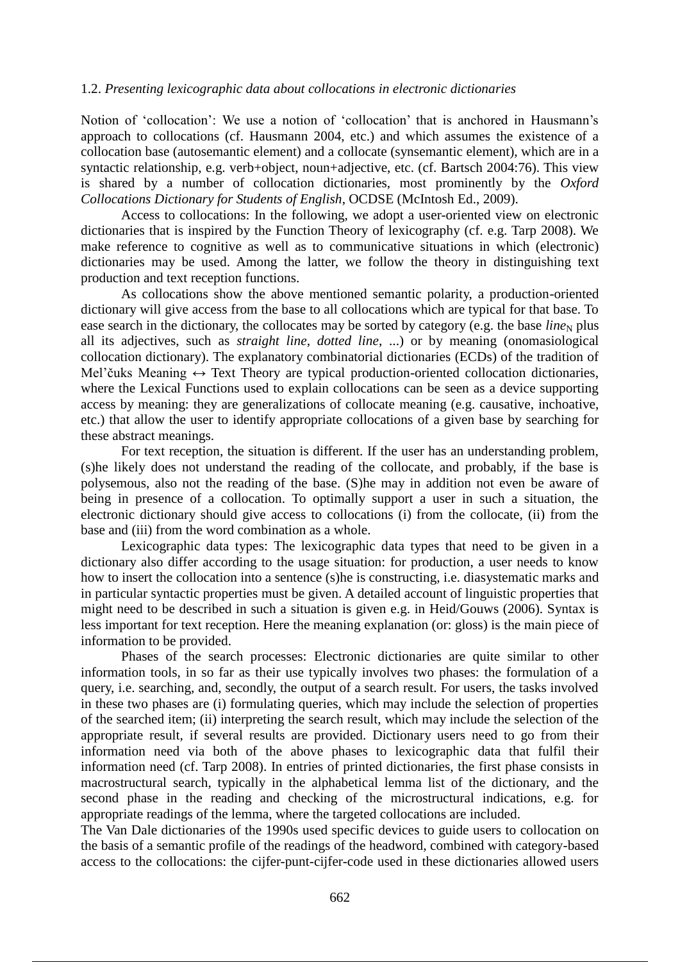#### 1.2. *Presenting lexicographic data about collocations in electronic dictionaries*

Notion of 'collocation': We use a notion of 'collocation' that is anchored in Hausmann's approach to collocations (cf. Hausmann 2004, etc.) and which assumes the existence of a collocation base (autosemantic element) and a collocate (synsemantic element), which are in a syntactic relationship, e.g. verb+object, noun+adjective, etc. (cf. Bartsch 2004:76). This view is shared by a number of collocation dictionaries, most prominently by the *Oxford Collocations Dictionary for Students of English*, OCDSE (McIntosh Ed., 2009).

Access to collocations: In the following, we adopt a user-oriented view on electronic dictionaries that is inspired by the Function Theory of lexicography (cf. e.g. Tarp 2008). We make reference to cognitive as well as to communicative situations in which (electronic) dictionaries may be used. Among the latter, we follow the theory in distinguishing text production and text reception functions.

As collocations show the above mentioned semantic polarity, a production-oriented dictionary will give access from the base to all collocations which are typical for that base. To ease search in the dictionary, the collocates may be sorted by category (e.g. the base *line*<sub>N</sub> plus all its adjectives, such as *straight line*, *dotted line*, ...) or by meaning (onomasiological collocation dictionary). The explanatory combinatorial dictionaries (ECDs) of the tradition of Mel'čuks Meaning  $\leftrightarrow$  Text Theory are typical production-oriented collocation dictionaries, where the Lexical Functions used to explain collocations can be seen as a device supporting access by meaning: they are generalizations of collocate meaning (e.g. causative, inchoative, etc.) that allow the user to identify appropriate collocations of a given base by searching for these abstract meanings.

For text reception, the situation is different. If the user has an understanding problem, (s)he likely does not understand the reading of the collocate, and probably, if the base is polysemous, also not the reading of the base. (S)he may in addition not even be aware of being in presence of a collocation. To optimally support a user in such a situation, the electronic dictionary should give access to collocations (i) from the collocate, (ii) from the base and (iii) from the word combination as a whole.

Lexicographic data types: The lexicographic data types that need to be given in a dictionary also differ according to the usage situation: for production, a user needs to know how to insert the collocation into a sentence (s)he is constructing, i.e. diasystematic marks and in particular syntactic properties must be given. A detailed account of linguistic properties that might need to be described in such a situation is given e.g. in Heid/Gouws (2006). Syntax is less important for text reception. Here the meaning explanation (or: gloss) is the main piece of information to be provided.

Phases of the search processes: Electronic dictionaries are quite similar to other information tools, in so far as their use typically involves two phases: the formulation of a query, i.e. searching, and, secondly, the output of a search result. For users, the tasks involved in these two phases are (i) formulating queries, which may include the selection of properties of the searched item; (ii) interpreting the search result, which may include the selection of the appropriate result, if several results are provided. Dictionary users need to go from their information need via both of the above phases to lexicographic data that fulfil their information need (cf. Tarp 2008). In entries of printed dictionaries, the first phase consists in macrostructural search, typically in the alphabetical lemma list of the dictionary, and the second phase in the reading and checking of the microstructural indications, e.g. for appropriate readings of the lemma, where the targeted collocations are included.

The Van Dale dictionaries of the 1990s used specific devices to guide users to collocation on the basis of a semantic profile of the readings of the headword, combined with category-based access to the collocations: the cijfer-punt-cijfer-code used in these dictionaries allowed users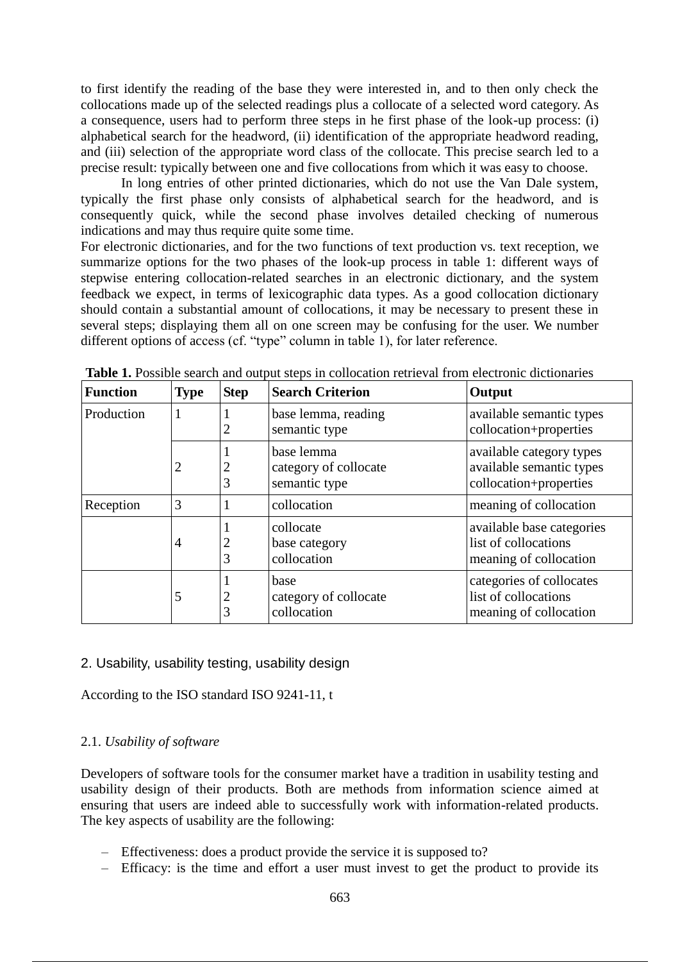to first identify the reading of the base they were interested in, and to then only check the collocations made up of the selected readings plus a collocate of a selected word category. As a consequence, users had to perform three steps in he first phase of the look-up process: (i) alphabetical search for the headword, (ii) identification of the appropriate headword reading, and (iii) selection of the appropriate word class of the collocate. This precise search led to a precise result: typically between one and five collocations from which it was easy to choose.

In long entries of other printed dictionaries, which do not use the Van Dale system, typically the first phase only consists of alphabetical search for the headword, and is consequently quick, while the second phase involves detailed checking of numerous indications and may thus require quite some time.

For electronic dictionaries, and for the two functions of text production vs. text reception, we summarize options for the two phases of the look-up process in table 1: different ways of stepwise entering collocation-related searches in an electronic dictionary, and the system feedback we expect, in terms of lexicographic data types. As a good collocation dictionary should contain a substantial amount of collocations, it may be necessary to present these in several steps; displaying them all on one screen may be confusing for the user. We number different options of access (cf. "type" column in table 1), for later reference.

| <b>Function</b> | <b>Type</b>    | <b>Step</b> | <b>Search Criterion</b>                              | Output                                                                         |
|-----------------|----------------|-------------|------------------------------------------------------|--------------------------------------------------------------------------------|
| Production      | -1             | 2           | base lemma, reading<br>semantic type                 | available semantic types<br>collocation+properties                             |
|                 | 2              | 2<br>3      | base lemma<br>category of collocate<br>semantic type | available category types<br>available semantic types<br>collocation+properties |
| Reception       | 3              | 1           | collocation                                          | meaning of collocation                                                         |
|                 | $\overline{4}$ | 2<br>3      | collocate<br>base category<br>collocation            | available base categories<br>list of collocations<br>meaning of collocation    |
|                 | 5              | 2<br>3      | base<br>category of collocate<br>collocation         | categories of collocates<br>list of collocations<br>meaning of collocation     |

**Table 1.** Possible search and output steps in collocation retrieval from electronic dictionaries

## 2. Usability, usability testing, usability design

According to the ISO standard ISO 9241-11, t

# 2.1. *Usability of software*

Developers of software tools for the consumer market have a tradition in usability testing and usability design of their products. Both are methods from information science aimed at ensuring that users are indeed able to successfully work with information-related products. The key aspects of usability are the following:

- Effectiveness: does a product provide the service it is supposed to?
- Efficacy: is the time and effort a user must invest to get the product to provide its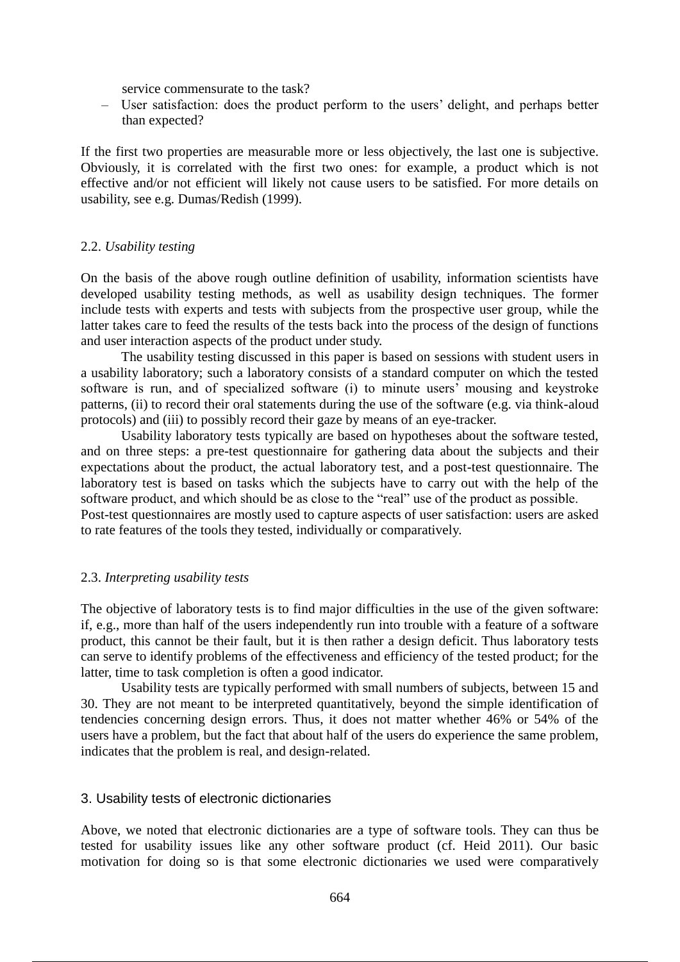service commensurate to the task?

– User satisfaction: does the product perform to the users' delight, and perhaps better than expected?

If the first two properties are measurable more or less objectively, the last one is subjective. Obviously, it is correlated with the first two ones: for example, a product which is not effective and/or not efficient will likely not cause users to be satisfied. For more details on usability, see e.g. Dumas/Redish (1999).

#### 2.2. *Usability testing*

On the basis of the above rough outline definition of usability, information scientists have developed usability testing methods, as well as usability design techniques. The former include tests with experts and tests with subjects from the prospective user group, while the latter takes care to feed the results of the tests back into the process of the design of functions and user interaction aspects of the product under study.

The usability testing discussed in this paper is based on sessions with student users in a usability laboratory; such a laboratory consists of a standard computer on which the tested software is run, and of specialized software (i) to minute users' mousing and keystroke patterns, (ii) to record their oral statements during the use of the software (e.g. via think-aloud protocols) and (iii) to possibly record their gaze by means of an eye-tracker.

Usability laboratory tests typically are based on hypotheses about the software tested, and on three steps: a pre-test questionnaire for gathering data about the subjects and their expectations about the product, the actual laboratory test, and a post-test questionnaire. The laboratory test is based on tasks which the subjects have to carry out with the help of the software product, and which should be as close to the "real" use of the product as possible. Post-test questionnaires are mostly used to capture aspects of user satisfaction: users are asked

to rate features of the tools they tested, individually or comparatively.

## 2.3. *Interpreting usability tests*

The objective of laboratory tests is to find major difficulties in the use of the given software: if, e.g., more than half of the users independently run into trouble with a feature of a software product, this cannot be their fault, but it is then rather a design deficit. Thus laboratory tests can serve to identify problems of the effectiveness and efficiency of the tested product; for the latter, time to task completion is often a good indicator.

Usability tests are typically performed with small numbers of subjects, between 15 and 30. They are not meant to be interpreted quantitatively, beyond the simple identification of tendencies concerning design errors. Thus, it does not matter whether 46% or 54% of the users have a problem, but the fact that about half of the users do experience the same problem, indicates that the problem is real, and design-related.

#### 3. Usability tests of electronic dictionaries

Above, we noted that electronic dictionaries are a type of software tools. They can thus be tested for usability issues like any other software product (cf. Heid 2011). Our basic motivation for doing so is that some electronic dictionaries we used were comparatively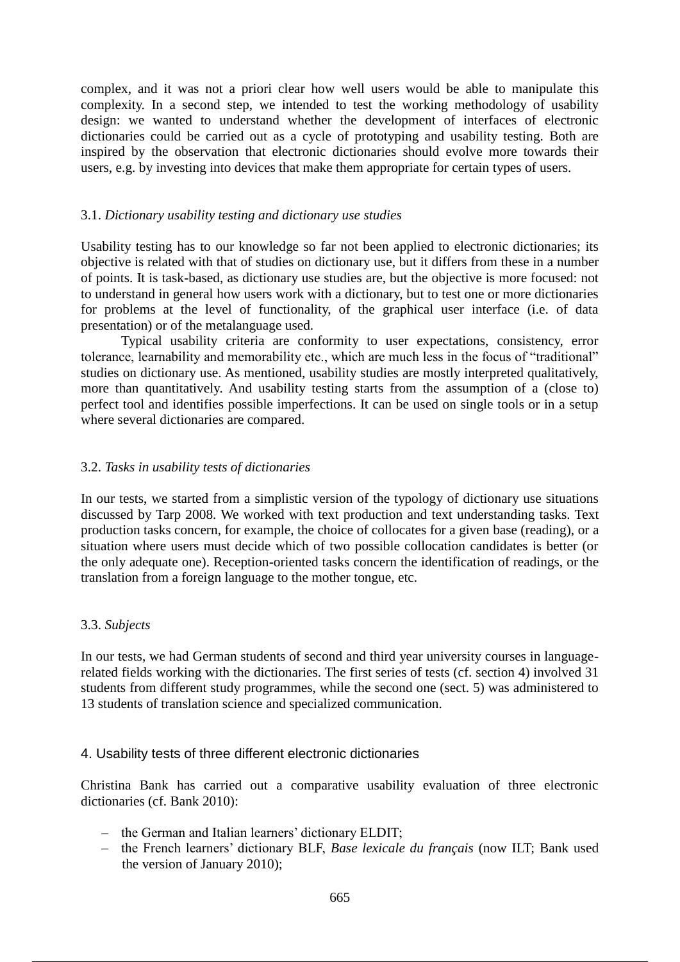complex, and it was not a priori clear how well users would be able to manipulate this complexity. In a second step, we intended to test the working methodology of usability design: we wanted to understand whether the development of interfaces of electronic dictionaries could be carried out as a cycle of prototyping and usability testing. Both are inspired by the observation that electronic dictionaries should evolve more towards their users, e.g. by investing into devices that make them appropriate for certain types of users.

## 3.1. *Dictionary usability testing and dictionary use studies*

Usability testing has to our knowledge so far not been applied to electronic dictionaries; its objective is related with that of studies on dictionary use, but it differs from these in a number of points. It is task-based, as dictionary use studies are, but the objective is more focused: not to understand in general how users work with a dictionary, but to test one or more dictionaries for problems at the level of functionality, of the graphical user interface (i.e. of data presentation) or of the metalanguage used.

Typical usability criteria are conformity to user expectations, consistency, error tolerance, learnability and memorability etc., which are much less in the focus of "traditional" studies on dictionary use. As mentioned, usability studies are mostly interpreted qualitatively, more than quantitatively. And usability testing starts from the assumption of a (close to) perfect tool and identifies possible imperfections. It can be used on single tools or in a setup where several dictionaries are compared.

## 3.2. *Tasks in usability tests of dictionaries*

In our tests, we started from a simplistic version of the typology of dictionary use situations discussed by Tarp 2008. We worked with text production and text understanding tasks. Text production tasks concern, for example, the choice of collocates for a given base (reading), or a situation where users must decide which of two possible collocation candidates is better (or the only adequate one). Reception-oriented tasks concern the identification of readings, or the translation from a foreign language to the mother tongue, etc.

## 3.3. *Subjects*

In our tests, we had German students of second and third year university courses in languagerelated fields working with the dictionaries. The first series of tests (cf. section 4) involved 31 students from different study programmes, while the second one (sect. 5) was administered to 13 students of translation science and specialized communication.

## 4. Usability tests of three different electronic dictionaries

Christina Bank has carried out a comparative usability evaluation of three electronic dictionaries (cf. Bank 2010):

- the German and Italian learners' dictionary ELDIT;
- the French learners' dictionary BLF, *Base lexicale du français* (now ILT; Bank used the version of January 2010);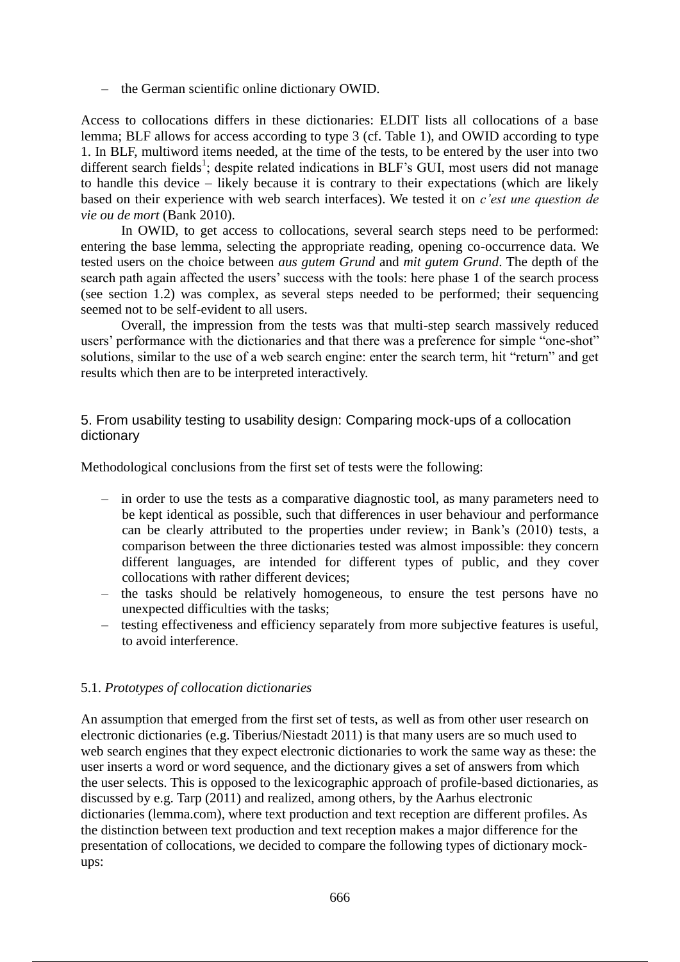– the German scientific online dictionary OWID.

Access to collocations differs in these dictionaries: ELDIT lists all collocations of a base lemma; BLF allows for access according to type 3 (cf. Table 1), and OWID according to type 1. In BLF, multiword items needed, at the time of the tests, to be entered by the user into two different search fields<sup>1</sup>; despite related indications in BLF's GUI, most users did not manage to handle this device – likely because it is contrary to their expectations (which are likely based on their experience with web search interfaces). We tested it on *c'est une question de vie ou de mort* (Bank 2010).

In OWID, to get access to collocations, several search steps need to be performed: entering the base lemma, selecting the appropriate reading, opening co-occurrence data. We tested users on the choice between *aus gutem Grund* and *mit gutem Grund*. The depth of the search path again affected the users' success with the tools: here phase 1 of the search process (see section 1.2) was complex, as several steps needed to be performed; their sequencing seemed not to be self-evident to all users.

Overall, the impression from the tests was that multi-step search massively reduced users' performance with the dictionaries and that there was a preference for simple "one-shot" solutions, similar to the use of a web search engine: enter the search term, hit "return" and get results which then are to be interpreted interactively.

# 5. From usability testing to usability design: Comparing mock-ups of a collocation dictionary

Methodological conclusions from the first set of tests were the following:

- in order to use the tests as a comparative diagnostic tool, as many parameters need to be kept identical as possible, such that differences in user behaviour and performance can be clearly attributed to the properties under review; in Bank's (2010) tests, a comparison between the three dictionaries tested was almost impossible: they concern different languages, are intended for different types of public, and they cover collocations with rather different devices;
- the tasks should be relatively homogeneous, to ensure the test persons have no unexpected difficulties with the tasks;
- testing effectiveness and efficiency separately from more subjective features is useful, to avoid interference.

## 5.1. *Prototypes of collocation dictionaries*

An assumption that emerged from the first set of tests, as well as from other user research on electronic dictionaries (e.g. Tiberius/Niestadt 2011) is that many users are so much used to web search engines that they expect electronic dictionaries to work the same way as these: the user inserts a word or word sequence, and the dictionary gives a set of answers from which the user selects. This is opposed to the lexicographic approach of profile-based dictionaries, as discussed by e.g. Tarp (2011) and realized, among others, by the Aarhus electronic dictionaries (lemma.com), where text production and text reception are different profiles. As the distinction between text production and text reception makes a major difference for the presentation of collocations, we decided to compare the following types of dictionary mockups: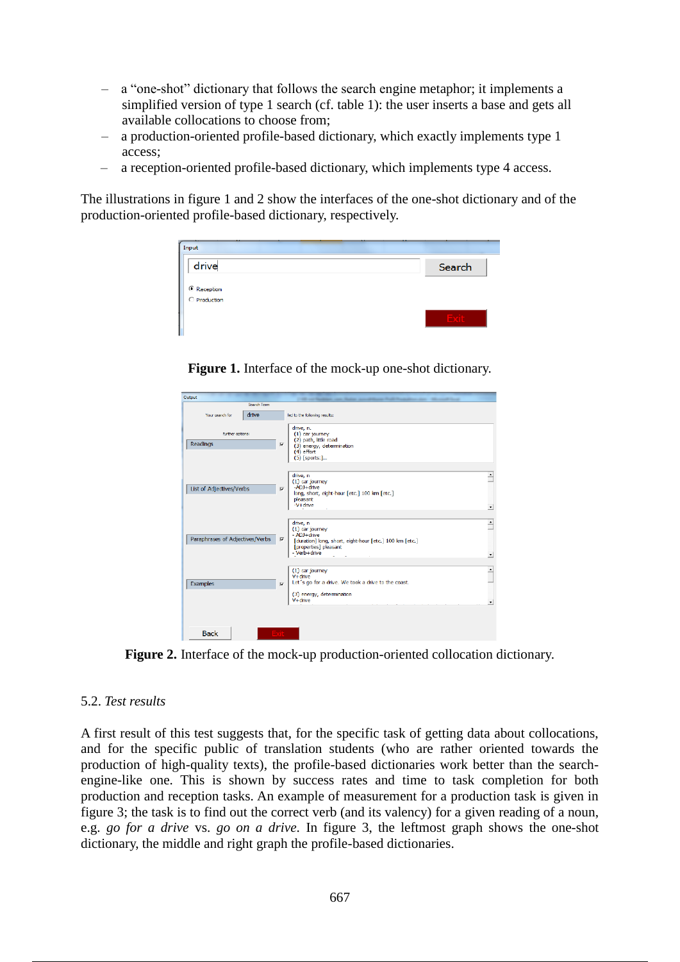- a "one-shot" dictionary that follows the search engine metaphor; it implements a simplified version of type 1 search (cf. table 1): the user inserts a base and gets all available collocations to choose from;
- a production-oriented profile-based dictionary, which exactly implements type 1 access;
- a reception-oriented profile-based dictionary, which implements type 4 access.

The illustrations in figure 1 and 2 show the interfaces of the one-shot dictionary and of the production-oriented profile-based dictionary, respectively.

| Input                       | ٠      |
|-----------------------------|--------|
| drive                       | Search |
| C Reception<br>C Production |        |
|                             |        |
|                             |        |

**Figure 1.** Interface of the mock-up one-shot dictionary.

| Output                          |                                                                                                                                                                             |                             |
|---------------------------------|-----------------------------------------------------------------------------------------------------------------------------------------------------------------------------|-----------------------------|
| Search Term                     |                                                                                                                                                                             |                             |
|                                 |                                                                                                                                                                             |                             |
| drive<br>Your search for        | led to the following results:                                                                                                                                               |                             |
| further options:                | drive, n.<br>$(1)$ car journey<br>(2) path, little road                                                                                                                     |                             |
| Readings                        | $\overline{\mathbf{v}}$<br>(3) energy, determination                                                                                                                        |                             |
|                                 | $(4)$ effort<br>$(5)$ [sports:]                                                                                                                                             |                             |
| List of Adjectives/Verbs        | drive, n<br>$(1)$ car journey<br>-ADJ+drive<br>$\overline{\mathbf{v}}$<br>long, short, eight-hour [etc.] 100 km [etc.]<br>pleasant<br>$-V +$ drive                          | $\mathbf{v}$                |
| Paraphrases of Adjectives/Verbs | drive, n<br>$(1)$ car journey<br>- ADJ+drive<br>$\overline{\mathbf{v}}$<br>[duration] long, short, eight-hour [etc.] 100 km [etc.]<br>[properties] pleasant<br>- Verb+drive | $\hat{ }$<br>$\overline{ }$ |
|                                 |                                                                                                                                                                             |                             |
|                                 | $(1)$ car journey<br>$V +$ drive                                                                                                                                            | $\overline{\phantom{0}}$    |
| <b>Examples</b>                 | Let's go for a drive. We took a drive to the coast.<br>$\overline{\mathbf{v}}$                                                                                              |                             |
|                                 | (3) energy, determination<br>$V +$ drive                                                                                                                                    | $\mathbf{v}$                |
| <b>Back</b>                     | EXIL                                                                                                                                                                        |                             |

**Figure 2.** Interface of the mock-up production-oriented collocation dictionary.

## 5.2. *Test results*

A first result of this test suggests that, for the specific task of getting data about collocations, and for the specific public of translation students (who are rather oriented towards the production of high-quality texts), the profile-based dictionaries work better than the searchengine-like one. This is shown by success rates and time to task completion for both production and reception tasks. An example of measurement for a production task is given in figure 3; the task is to find out the correct verb (and its valency) for a given reading of a noun, e.g. *go for a drive* vs. *go on a drive*. In figure 3, the leftmost graph shows the one-shot dictionary, the middle and right graph the profile-based dictionaries.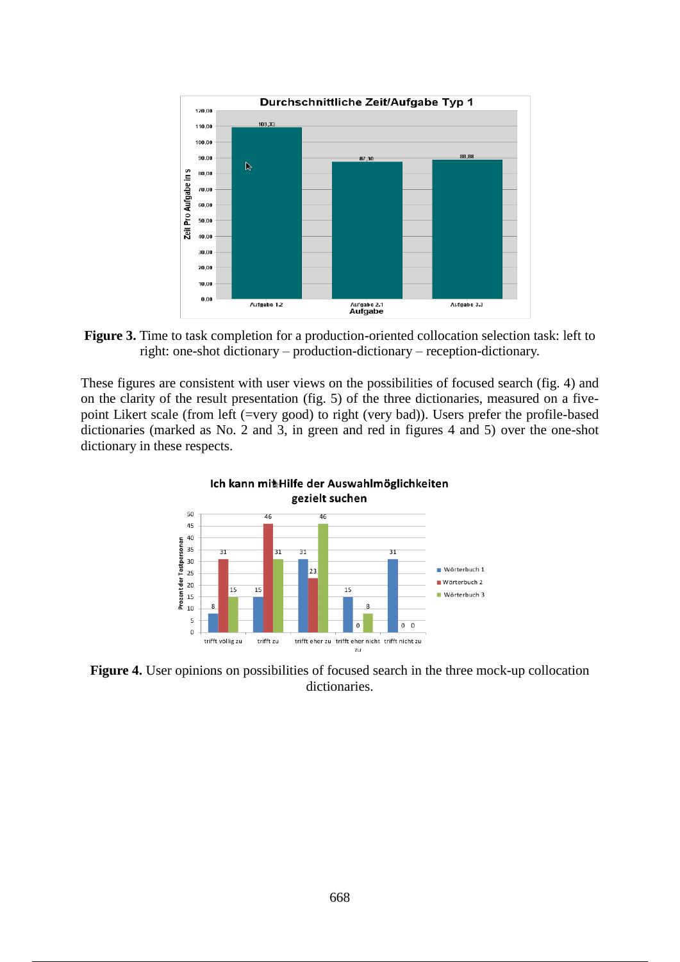

**Figure 3.** Time to task completion for a production-oriented collocation selection task: left to right: one-shot dictionary – production-dictionary – reception-dictionary.

These figures are consistent with user views on the possibilities of focused search (fig. 4) and on the clarity of the result presentation (fig. 5) of the three dictionaries, measured on a fivepoint Likert scale (from left (=very good) to right (very bad)). Users prefer the profile-based dictionaries (marked as No. 2 and 3, in green and red in figures 4 and 5) over the one-shot dictionary in these respects.



**Figure 4.** User opinions on possibilities of focused search in the three mock-up collocation dictionaries.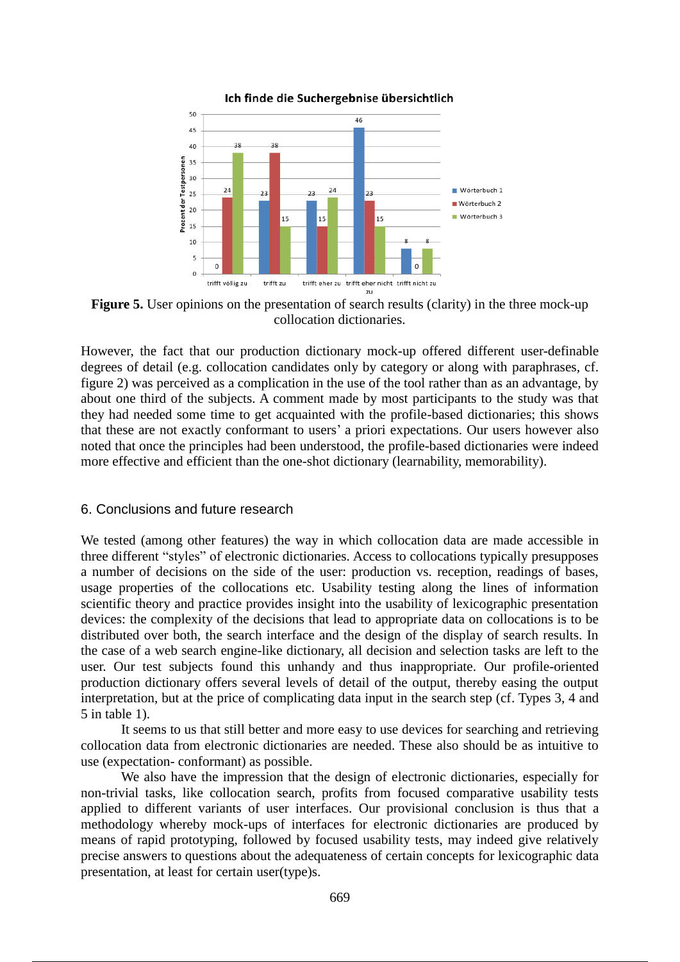

Ich finde die Suchergebnise übersichtlich

**Figure 5.** User opinions on the presentation of search results (clarity) in the three mock-up collocation dictionaries.

However, the fact that our production dictionary mock-up offered different user-definable degrees of detail (e.g. collocation candidates only by category or along with paraphrases, cf. figure 2) was perceived as a complication in the use of the tool rather than as an advantage, by about one third of the subjects. A comment made by most participants to the study was that they had needed some time to get acquainted with the profile-based dictionaries; this shows that these are not exactly conformant to users' a priori expectations. Our users however also noted that once the principles had been understood, the profile-based dictionaries were indeed more effective and efficient than the one-shot dictionary (learnability, memorability).

#### 6. Conclusions and future research

We tested (among other features) the way in which collocation data are made accessible in three different "styles" of electronic dictionaries. Access to collocations typically presupposes a number of decisions on the side of the user: production vs. reception, readings of bases, usage properties of the collocations etc. Usability testing along the lines of information scientific theory and practice provides insight into the usability of lexicographic presentation devices: the complexity of the decisions that lead to appropriate data on collocations is to be distributed over both, the search interface and the design of the display of search results. In the case of a web search engine-like dictionary, all decision and selection tasks are left to the user. Our test subjects found this unhandy and thus inappropriate. Our profile-oriented production dictionary offers several levels of detail of the output, thereby easing the output interpretation, but at the price of complicating data input in the search step (cf. Types 3, 4 and 5 in table 1).

It seems to us that still better and more easy to use devices for searching and retrieving collocation data from electronic dictionaries are needed. These also should be as intuitive to use (expectation- conformant) as possible.

We also have the impression that the design of electronic dictionaries, especially for non-trivial tasks, like collocation search, profits from focused comparative usability tests applied to different variants of user interfaces. Our provisional conclusion is thus that a methodology whereby mock-ups of interfaces for electronic dictionaries are produced by means of rapid prototyping, followed by focused usability tests, may indeed give relatively precise answers to questions about the adequateness of certain concepts for lexicographic data presentation, at least for certain user(type)s.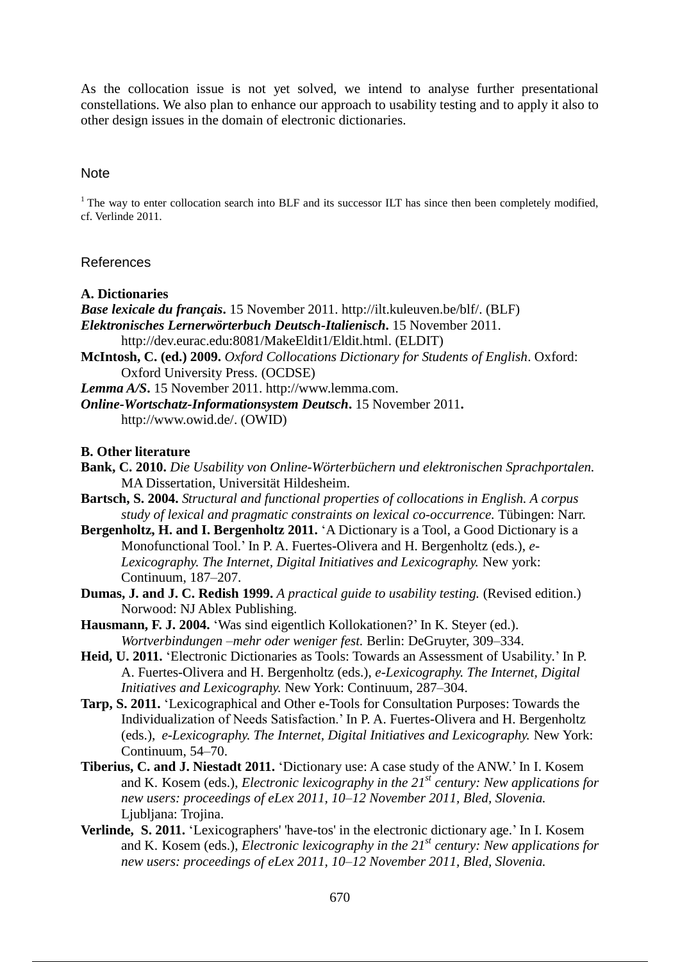As the collocation issue is not yet solved, we intend to analyse further presentational constellations. We also plan to enhance our approach to usability testing and to apply it also to other design issues in the domain of electronic dictionaries.

## **Note**

 $1$ <sup>1</sup> The way to enter collocation search into BLF and its successor ILT has since then been completely modified, cf. Verlinde 2011.

#### References

#### **A. Dictionaries**

*Base lexicale du français***.** 15 November 2011. http://ilt.kuleuven.be/blf/. (BLF) *Elektronisches Lernerwörterbuch Deutsch-Italienisch***.** 15 November 2011. http://dev.eurac.edu:8081/MakeEldit1/Eldit.html. (ELDIT)

**McIntosh, C. (ed.) 2009.** *Oxford Collocations Dictionary for Students of English*. Oxford: Oxford University Press. (OCDSE)

*Lemma A/S***.** 15 November 2011. http://www.lemma.com.

*Online-Wortschatz-Informationsystem Deutsch***.** 15 November 2011**.** http://www.owid.de/. (OWID)

#### **B. Other literature**

- **Bank, C. 2010.** *Die Usability von Online-Wörterbüchern und elektronischen Sprachportalen.*  MA Dissertation, Universität Hildesheim.
- **Bartsch, S. 2004.** *Structural and functional properties of collocations in English. A corpus study of lexical and pragmatic constraints on lexical co-occurrence.* Tübingen: Narr.
- **Bergenholtz, H. and I. Bergenholtz 2011.** 'A Dictionary is a Tool, a Good Dictionary is a Monofunctional Tool.' In P. A. Fuertes-Olivera and H. Bergenholtz (eds.), *e-Lexicography. The Internet, Digital Initiatives and Lexicography.* New york: Continuum, 187–207.
- **Dumas, J. and J. C. Redish 1999.** *A practical guide to usability testing.* (Revised edition.) Norwood: NJ Ablex Publishing.
- **Hausmann, F. J. 2004.** 'Was sind eigentlich Kollokationen?' In K. Steyer (ed.). *Wortverbindungen –mehr oder weniger fest.* Berlin: DeGruyter, 309–334.
- **Heid, U. 2011.** 'Electronic Dictionaries as Tools: Towards an Assessment of Usability*.*' In P. A. Fuertes-Olivera and H. Bergenholtz (eds.), *e-Lexicography. The Internet, Digital Initiatives and Lexicography.* New York: Continuum, 287–304.
- **Tarp, S. 2011.** 'Lexicographical and Other e-Tools for Consultation Purposes: Towards the Individualization of Needs Satisfaction.' In P. A. Fuertes-Olivera and H. Bergenholtz (eds.), *e-Lexicography. The Internet, Digital Initiatives and Lexicography.* New York: Continuum, 54–70.
- **Tiberius, C. and J. Niestadt 2011.** 'Dictionary use: A case study of the ANW.' In I. Kosem and K. Kosem (eds.), *Electronic lexicography in the 21st century: New applications for new users: proceedings of eLex 2011, 10–12 November 2011, Bled, Slovenia.*  Ljubljana: Trojina.
- **Verlinde, S. 2011.** 'Lexicographers' 'have-tos' in the electronic dictionary age.' In I. Kosem and K. Kosem (eds.), *Electronic lexicography in the 21st century: New applications for new users: proceedings of eLex 2011, 10–12 November 2011, Bled, Slovenia.*